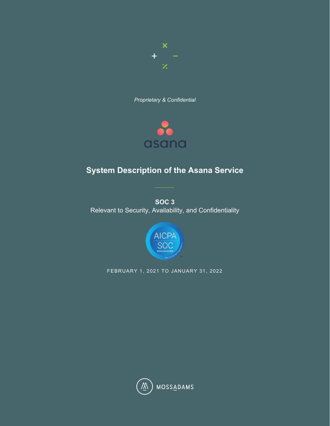

*Proprietary & Confidential*



# **System Description of the Asana Service**

**SOC 3**  Relevant to Security, Availability, and Confidentiality



FEBRUARY 1, 2021 TO JANUARY 31, 2022

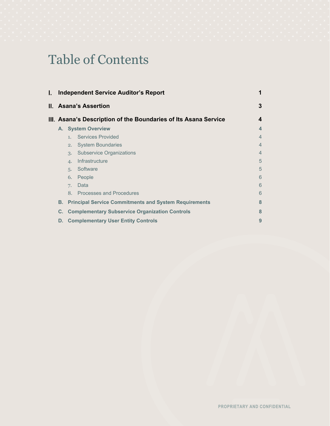# Table of Contents

| I. |                                                             |    | <b>Independent Service Auditor's Report</b>                     | 1              |
|----|-------------------------------------------------------------|----|-----------------------------------------------------------------|----------------|
|    |                                                             |    | II. Asana's Assertion                                           | 3              |
|    |                                                             |    | III. Asana's Description of the Boundaries of Its Asana Service | 4              |
|    |                                                             |    | A. System Overview                                              | 4              |
|    |                                                             | 1  | <b>Services Provided</b>                                        | $\overline{4}$ |
|    |                                                             | 2. | <b>System Boundaries</b>                                        | $\overline{4}$ |
|    |                                                             | 3. | <b>Subservice Organizations</b>                                 | $\overline{4}$ |
|    |                                                             | 4. | Infrastructure                                                  | 5              |
|    |                                                             | 5. | Software                                                        | 5              |
|    |                                                             | 6. | People                                                          | 6              |
|    |                                                             | 7. | Data                                                            | 6              |
|    |                                                             |    | 8. Processes and Procedures                                     | 6              |
|    | В.                                                          |    | <b>Principal Service Commitments and System Requirements</b>    | 8              |
|    | <b>Complementary Subservice Organization Controls</b><br>C. |    |                                                                 |                |
|    | D.                                                          |    | <b>Complementary User Entity Controls</b>                       | 9              |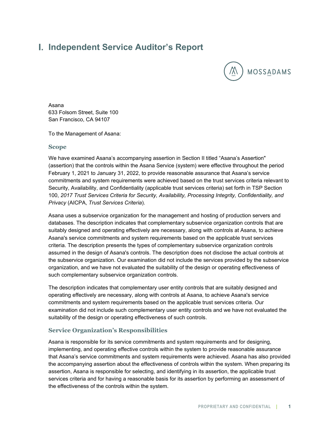# <span id="page-2-0"></span>**Independent Service Auditor's Report**



Asana 633 Folsom Street, Suite 100 San Francisco, CA 94107

To the Management of Asana:

#### **Scope**

We have examined Asana's accompanying assertion in Section II titled "Asana's Assertion" (assertion) that the controls within the Asana Service (system) were effective throughout the period February 1, 2021 to January 31, 2022, to provide reasonable assurance that Asana's service commitments and system requirements were achieved based on the trust services criteria relevant to Security, Availability, and Confidentiality (applicable trust services criteria) set forth in TSP Section 100, *2017 Trust Services Criteria for Security, Availability, Processing Integrity, Confidentiality, and Privacy* (AICPA, *Trust Services Criteria*).

Asana uses a subservice organization for the management and hosting of production servers and databases. The description indicates that complementary subservice organization controls that are suitably designed and operating effectively are necessary, along with controls at Asana, to achieve Asana's service commitments and system requirements based on the applicable trust services criteria. The description presents the types of complementary subservice organization controls assumed in the design of Asana's controls. The description does not disclose the actual controls at the subservice organization. Our examination did not include the services provided by the subservice organization, and we have not evaluated the suitability of the design or operating effectiveness of such complementary subservice organization controls.

The description indicates that complementary user entity controls that are suitably designed and operating effectively are necessary, along with controls at Asana, to achieve Asana's service commitments and system requirements based on the applicable trust services criteria. Our examination did not include such complementary user entity controls and we have not evaluated the suitability of the design or operating effectiveness of such controls.

## **Service Organization's Responsibilities**

Asana is responsible for its service commitments and system requirements and for designing, implementing, and operating effective controls within the system to provide reasonable assurance that Asana's service commitments and system requirements were achieved. Asana has also provided the accompanying assertion about the effectiveness of controls within the system. When preparing its assertion, Asana is responsible for selecting, and identifying in its assertion, the applicable trust services criteria and for having a reasonable basis for its assertion by performing an assessment of the effectiveness of the controls within the system.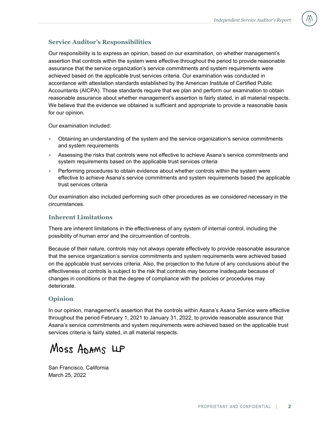# **Service Auditor's Responsibilities**

Our responsibility is to express an opinion, based on our examination, on whether management's assertion that controls within the system were effective throughout the period to provide reasonable assurance that the service organization's service commitments and system requirements were achieved based on the applicable trust services criteria. Our examination was conducted in accordance with attestation standards established by the American Institute of Certified Public Accountants (AICPA). Those standards require that we plan and perform our examination to obtain reasonable assurance about whether management's assertion is fairly stated, in all material respects. We believe that the evidence we obtained is sufficient and appropriate to provide a reasonable basis for our opinion.

Our examination included:

- Obtaining an understanding of the system and the service organization's service commitments and system requirements
- Assessing the risks that controls were not effective to achieve Asana's service commitments and system requirements based on the applicable trust services criteria
- Performing procedures to obtain evidence about whether controls within the system were effective to achieve Asana's service commitments and system requirements based the applicable trust services criteria

Our examination also included performing such other procedures as we considered necessary in the circumstances.

## **Inherent Limitations**

There are inherent limitations in the effectiveness of any system of internal control, including the possibility of human error and the circumvention of controls.

Because of their nature, controls may not always operate effectively to provide reasonable assurance that the service organization's service commitments and system requirements were achieved based on the applicable trust services criteria. Also, the projection to the future of any conclusions about the effectiveness of controls is subject to the risk that controls may become inadequate because of changes in conditions or that the degree of compliance with the policies or procedures may deteriorate.

# **Opinion**

In our opinion, management's assertion that the controls within Asana's Asana Service were effective throughout the period February 1, 2021 to January 31, 2022, to provide reasonable assurance that Asana's service commitments and system requirements were achieved based on the applicable trust services criteria is fairly stated, in all material respects.

Moss ADAMS LLP

San Francisco, California March 25, 2022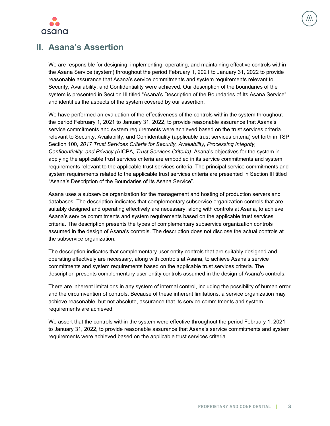

<span id="page-4-0"></span>

We are responsible for designing, implementing, operating, and maintaining effective controls within the Asana Service (system) throughout the period February 1, 2021 to January 31, 2022 to provide reasonable assurance that Asana's service commitments and system requirements relevant to Security, Availability, and Confidentiality were achieved. Our description of the boundaries of the system is presented in Section III titled "Asana's Description of the Boundaries of Its Asana Service" and identifies the aspects of the system covered by our assertion.

We have performed an evaluation of the effectiveness of the controls within the system throughout the period February 1, 2021 to January 31, 2022, to provide reasonable assurance that Asana's service commitments and system requirements were achieved based on the trust services criteria relevant to Security, Availability, and Confidentiality (applicable trust services criteria) set forth in TSP Section 100*, 2017 Trust Services Criteria for Security, Availability, Processing Integrity, Confidentiality, and Privacy (*AICPA*, Trust Services Criteria)*. Asana's objectives for the system in applying the applicable trust services criteria are embodied in its service commitments and system requirements relevant to the applicable trust services criteria. The principal service commitments and system requirements related to the applicable trust services criteria are presented in Section III titled "Asana's Description of the Boundaries of Its Asana Service".

Asana uses a subservice organization for the management and hosting of production servers and databases. The description indicates that complementary subservice organization controls that are suitably designed and operating effectively are necessary, along with controls at Asana, to achieve Asana's service commitments and system requirements based on the applicable trust services criteria. The description presents the types of complementary subservice organization controls assumed in the design of Asana's controls. The description does not disclose the actual controls at the subservice organization.

The description indicates that complementary user entity controls that are suitably designed and operating effectively are necessary, along with controls at Asana, to achieve Asana's service commitments and system requirements based on the applicable trust services criteria. The description presents complementary user entity controls assumed in the design of Asana's controls.

There are inherent limitations in any system of internal control, including the possibility of human error and the circumvention of controls. Because of these inherent limitations, a service organization may achieve reasonable, but not absolute, assurance that its service commitments and system requirements are achieved.

We assert that the controls within the system were effective throughout the period February 1, 2021 to January 31, 2022, to provide reasonable assurance that Asana's service commitments and system requirements were achieved based on the applicable trust services criteria.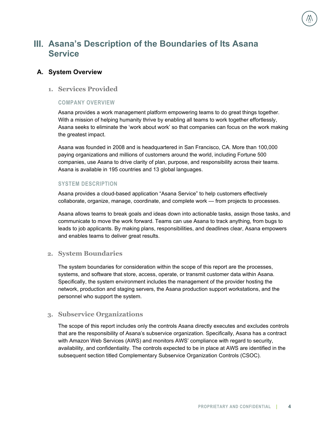# <span id="page-5-0"></span>**Asana's Description of the Boundaries of Its Asana Service**

#### <span id="page-5-1"></span>**A. System Overview**

## <span id="page-5-2"></span>**1. Services Provided**

#### **COMPANY OVERVIEW**

Asana provides a work management platform empowering teams to do great things together. With a mission of helping humanity thrive by enabling all teams to work together effortlessly, Asana seeks to eliminate the 'work about work' so that companies can focus on the work making the greatest impact.

Asana was founded in 2008 and is headquartered in San Francisco, CA. More than 100,000 paying organizations and millions of customers around the world, including Fortune 500 companies, use Asana to drive clarity of plan, purpose, and responsibility across their teams. Asana is available in 195 countries and 13 global languages.

#### **SYSTEM DESCRIPTION**

Asana provides a cloud-based application "Asana Service" to help customers effectively collaborate, organize, manage, coordinate, and complete work — from projects to processes.

Asana allows teams to break goals and ideas down into actionable tasks, assign those tasks, and communicate to move the work forward. Teams can use Asana to track anything, from bugs to leads to job applicants. By making plans, responsibilities, and deadlines clear, Asana empowers and enables teams to deliver great results.

#### <span id="page-5-3"></span>**2. System Boundaries**

The system boundaries for consideration within the scope of this report are the processes, systems, and software that store, access, operate, or transmit customer data within Asana. Specifically, the system environment includes the management of the provider hosting the network, production and staging servers, the Asana production support workstations, and the personnel who support the system.

#### <span id="page-5-4"></span>**3. Subservice Organizations**

The scope of this report includes only the controls Asana directly executes and excludes controls that are the responsibility of Asana's subservice organization. Specifically, Asana has a contract with Amazon Web Services (AWS) and monitors AWS' compliance with regard to security, availability, and confidentiality. The controls expected to be in place at AWS are identified in the subsequent section titled Complementary Subservice Organization Controls (CSOC).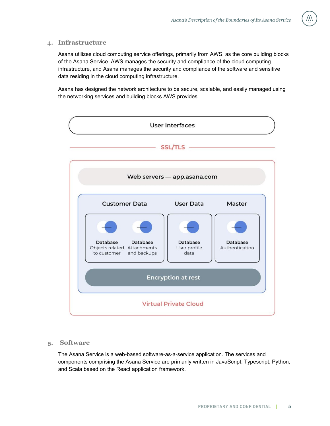#### <span id="page-6-0"></span>**4. Infrastructure**

Asana utilizes cloud computing service offerings, primarily from AWS, as the core building blocks of the Asana Service. AWS manages the security and compliance of the cloud computing infrastructure, and Asana manages the security and compliance of the software and sensitive data residing in the cloud computing infrastructure.

Asana has designed the network architecture to be secure, scalable, and easily managed using the networking services and building blocks AWS provides.



## <span id="page-6-1"></span>**5. Software**

The Asana Service is a web-based software-as-a-service application. The services and components comprising the Asana Service are primarily written in JavaScript, Typescript, Python, and Scala based on the React application framework.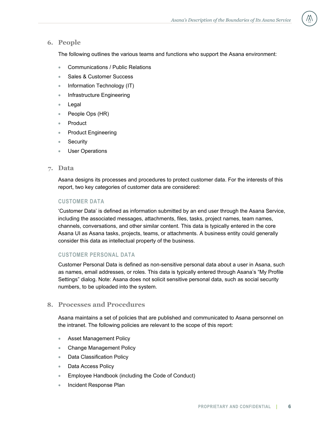#### <span id="page-7-0"></span>**6. People**

The following outlines the various teams and functions who support the Asana environment:

- Communications / Public Relations
- Sales & Customer Success
- Information Technology (IT)
- Infrastructure Engineering
- Legal
- People Ops (HR)
- **Product**
- Product Engineering
- **Security**
- User Operations

#### <span id="page-7-1"></span>**7. Data**

Asana designs its processes and procedures to protect customer data. For the interests of this report, two key categories of customer data are considered:

#### **CUSTOMER DATA**

'Customer Data' is defined as information submitted by an end user through the Asana Service, including the associated messages, attachments, files, tasks, project names, team names, channels, conversations, and other similar content. This data is typically entered in the core Asana UI as Asana tasks, projects, teams, or attachments. A business entity could generally consider this data as intellectual property of the business.

#### **CUSTOMER PERSONAL DATA**

Customer Personal Data is defined as non-sensitive personal data about a user in Asana, such as names, email addresses, or roles. This data is typically entered through Asana's "My Profile Settings" dialog. Note: Asana does not solicit sensitive personal data, such as social security numbers, to be uploaded into the system.

#### <span id="page-7-2"></span>**8. Processes and Procedures**

Asana maintains a set of policies that are published and communicated to Asana personnel on the intranet. The following policies are relevant to the scope of this report:

- Asset Management Policy
- Change Management Policy
- Data Classification Policy
- Data Access Policy
- Employee Handbook (including the Code of Conduct)
- Incident Response Plan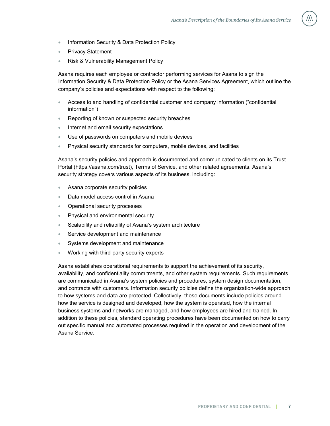- Information Security & Data Protection Policy
- **Privacy Statement**
- Risk & Vulnerability Management Policy

Asana requires each employee or contractor performing services for Asana to sign the Information Security & Data Protection Policy or the Asana Services Agreement, which outline the company's policies and expectations with respect to the following:

- Access to and handling of confidential customer and company information ("confidential information")
- Reporting of known or suspected security breaches
- Internet and email security expectations
- Use of passwords on computers and mobile devices
- Physical security standards for computers, mobile devices, and facilities

Asana's security policies and approach is documented and communicated to clients on its Trust Portal (https://asana.com/trust), Terms of Service, and other related agreements. Asana's security strategy covers various aspects of its business, including:

- Asana corporate security policies
- Data model access control in Asana
- Operational security processes
- Physical and environmental security
- Scalability and reliability of Asana's system architecture
- Service development and maintenance
- Systems development and maintenance
- Working with third-party security experts

Asana establishes operational requirements to support the achievement of its security, availability, and confidentiality commitments, and other system requirements. Such requirements are communicated in Asana's system policies and procedures, system design documentation, and contracts with customers. Information security policies define the organization-wide approach to how systems and data are protected. Collectively, these documents include policies around how the service is designed and developed, how the system is operated, how the internal business systems and networks are managed, and how employees are hired and trained. In addition to these policies, standard operating procedures have been documented on how to carry out specific manual and automated processes required in the operation and development of the Asana Service.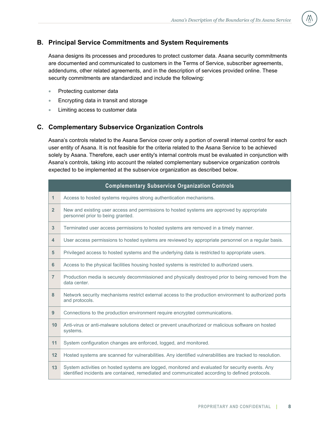# <span id="page-9-0"></span>**B. Principal Service Commitments and System Requirements**

Asana designs its processes and procedures to protect customer data. Asana security commitments are documented and communicated to customers in the Terms of Service, subscriber agreements, addendums, other related agreements, and in the description of services provided online. These security commitments are standardized and include the following:

- Protecting customer data
- Encrypting data in transit and storage
- <span id="page-9-1"></span>• Limiting access to customer data

# **C. Complementary Subservice Organization Controls**

Asana's controls related to the Asana Service cover only a portion of overall internal control for each user entity of Asana. It is not feasible for the criteria related to the Asana Service to be achieved solely by Asana. Therefore, each user entity's internal controls must be evaluated in conjunction with Asana's controls, taking into account the related complementary subservice organization controls expected to be implemented at the subservice organization as described below.

| <b>Complementary Subservice Organization Controls</b> |                                                                                                                                                                                                     |  |  |  |
|-------------------------------------------------------|-----------------------------------------------------------------------------------------------------------------------------------------------------------------------------------------------------|--|--|--|
| $\mathbf 1$                                           | Access to hosted systems requires strong authentication mechanisms.                                                                                                                                 |  |  |  |
| 2 <sup>2</sup>                                        | New and existing user access and permissions to hosted systems are approved by appropriate<br>personnel prior to being granted.                                                                     |  |  |  |
| 3                                                     | Terminated user access permissions to hosted systems are removed in a timely manner.                                                                                                                |  |  |  |
| $\overline{\mathbf{4}}$                               | User access permissions to hosted systems are reviewed by appropriate personnel on a regular basis.                                                                                                 |  |  |  |
| 5 <sup>5</sup>                                        | Privileged access to hosted systems and the underlying data is restricted to appropriate users.                                                                                                     |  |  |  |
| 6                                                     | Access to the physical facilities housing hosted systems is restricted to authorized users.                                                                                                         |  |  |  |
| $\overline{7}$                                        | Production media is securely decommissioned and physically destroyed prior to being removed from the<br>data center.                                                                                |  |  |  |
| 8                                                     | Network security mechanisms restrict external access to the production environment to authorized ports<br>and protocols.                                                                            |  |  |  |
| 9                                                     | Connections to the production environment require encrypted communications.                                                                                                                         |  |  |  |
| 10                                                    | Anti-virus or anti-malware solutions detect or prevent unauthorized or malicious software on hosted<br>systems.                                                                                     |  |  |  |
| 11                                                    | System configuration changes are enforced, logged, and monitored.                                                                                                                                   |  |  |  |
| 12                                                    | Hosted systems are scanned for vulnerabilities. Any identified vulnerabilities are tracked to resolution.                                                                                           |  |  |  |
| 13                                                    | System activities on hosted systems are logged, monitored and evaluated for security events. Any<br>identified incidents are contained, remediated and communicated according to defined protocols. |  |  |  |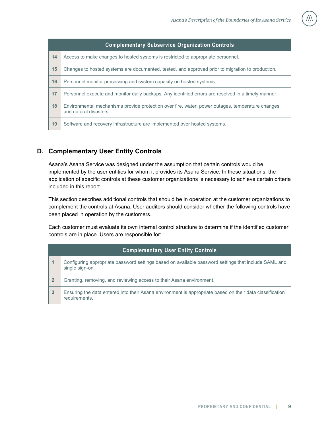| <b>Complementary Subservice Organization Controls</b> |                                                                                                                            |  |  |  |
|-------------------------------------------------------|----------------------------------------------------------------------------------------------------------------------------|--|--|--|
| 14                                                    | Access to make changes to hosted systems is restricted to appropriate personnel.                                           |  |  |  |
| 15                                                    | Changes to hosted systems are documented, tested, and approved prior to migration to production.                           |  |  |  |
| 16                                                    | Personnel monitor processing and system capacity on hosted systems.                                                        |  |  |  |
| 17                                                    | Personnel execute and monitor daily backups. Any identified errors are resolved in a timely manner.                        |  |  |  |
| 18                                                    | Environmental mechanisms provide protection over fire, water, power outages, temperature changes<br>and natural disasters. |  |  |  |
| 19                                                    | Software and recovery infrastructure are implemented over hosted systems.                                                  |  |  |  |

# <span id="page-10-0"></span>**D. Complementary User Entity Controls**

Asana's Asana Service was designed under the assumption that certain controls would be implemented by the user entities for whom it provides its Asana Service. In these situations, the application of specific controls at these customer organizations is necessary to achieve certain criteria included in this report.

This section describes additional controls that should be in operation at the customer organizations to complement the controls at Asana. User auditors should consider whether the following controls have been placed in operation by the customers.

Each customer must evaluate its own internal control structure to determine if the identified customer controls are in place. Users are responsible for:

| <b>Complementary User Entity Controls</b> |                                                                                                                           |  |  |  |
|-------------------------------------------|---------------------------------------------------------------------------------------------------------------------------|--|--|--|
|                                           | Configuring appropriate password settings based on available password settings that include SAML and<br>single sign-on.   |  |  |  |
| $\mathbf{2}$                              | Granting, removing, and reviewing access to their Asana environment.                                                      |  |  |  |
| $\mathbf{3}$                              | Ensuring the data entered into their Asana environment is appropriate based on their data classification<br>requirements. |  |  |  |